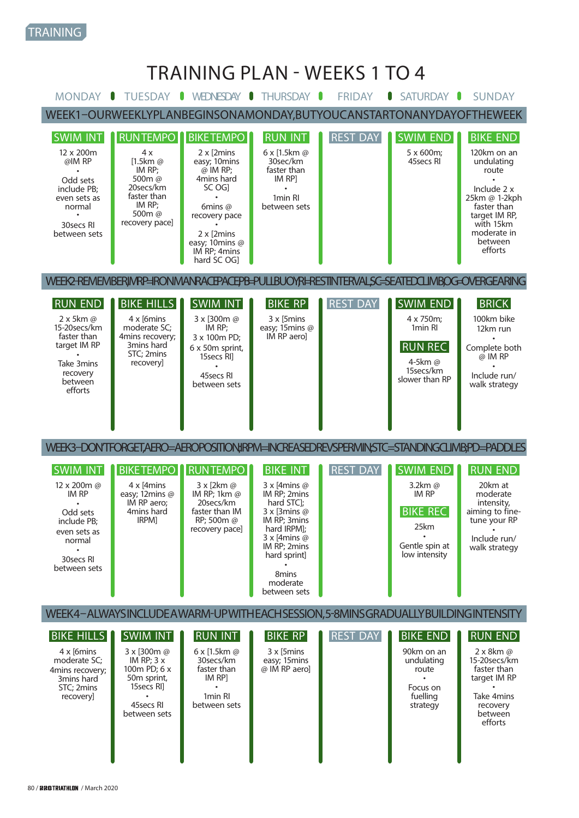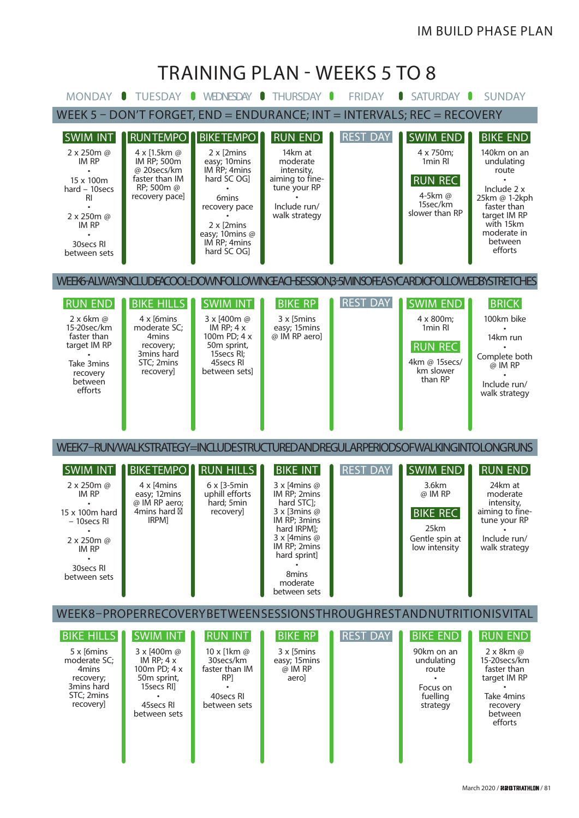